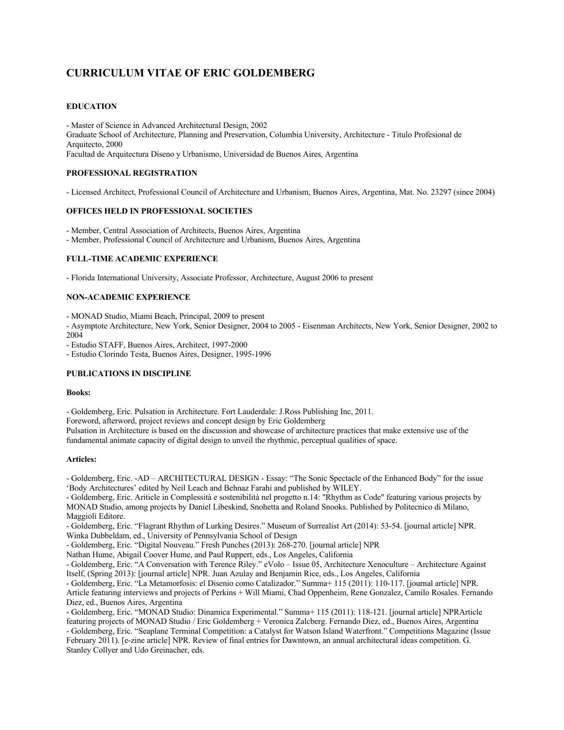# **CURRICULUM VITAE OF ERIC GOLDEMBERG**

# **EDUCATION**

- Master of Science in Advanced Architectural Design, 2002 Graduate School of Architecture, Planning and Preservation, Columbia University, Architecture - Titulo Profesional de Arquitecto, 2000 Facultad de Arquitectura Diseno y Urbanismo, Universidad de Buenos Aires, Argentina

## **PROFESSIONAL REGISTRATION**

- Licensed Architect, Professional Council of Architecture and Urbanism, Buenos Aires, Argentina, Mat. No. 23297 (since 2004)

## **OFFICES HELD IN PROFESSIONAL SOCIETIES**

- Member, Central Association of Architects, Buenos Aires, Argentina - Member, Professional Council of Architecture and Urbanism, Buenos Aires, Argentina

## **FULL-TIME ACADEMIC EXPERIENCE**

- Florida International University, Associate Professor, Architecture, August 2006 to present

# **NON-ACADEMIC EXPERIENCE**

- MONAD Studio, Miami Beach, Principal, 2009 to present

- Asymptote Architecture, New York, Senior Designer, 2004 to 2005 - Eisenman Architects, New York, Senior Designer, 2002 to 2004

- Estudio STAFF, Buenos Aires, Architect, 1997-2000

- Estudio Clorindo Testa, Buenos Aires, Designer, 1995-1996

# **PUBLICATIONS IN DISCIPLINE**

#### **Books:**

- Goldemberg, Eric. Pulsation in Architecture. Fort Lauderdale: J.Ross Publishing Inc, 2011.

Foreword, afterword, project reviews and concept design by Eric Goldemberg

Pulsation in Architecture is based on the discussion and showcase of architecture practices that make extensive use of the fundamental animate capacity of digital design to unveil the rhythmic, perceptual qualities of space.

#### **Articles:**

- Goldemberg, Eric. -AD – ARCHITECTURAL DESIGN - Essay: "The Sonic Spectacle of the Enhanced Body" for the issue 'Body Architectures' edited by Neil Leach and Behnaz Farahi and published by WILEY.

- Goldemberg, Eric. Ariticle in Complessità e sostenibilità nel progetto n.14: "Rhythm as Code" featuring various projects by MONAD Studio, among projects by Daniel Libeskind, Snohetta and Roland Snooks. Published by Politecnico di Milano, Maggioli Editore.

- Goldemberg, Eric. "Flagrant Rhythm of Lurking Desires." Museum of Surrealist Art (2014): 53-54. [journal article] NPR. Winka Dubbeldam, ed., University of Pennsylvania School of Design

- Goldemberg, Eric. "Digital Nouveau." Fresh Punches (2013): 268-270. [journal article] NPR

Nathan Hume, Abigail Coover Hume, and Paul Ruppert, eds., Los Angeles, California

- Goldemberg, Eric. "A Conversation with Terence Riley." eVolo – Issue 05, Architecture Xenoculture – Architecture Against Itself, (Spring 2013): [journal article] NPR. Juan Azulay and Benjamin Rice, eds., Los Angeles, California

- Goldemberg, Eric. "La Metamorfosis: el Disenio como Catalizador." Summa+ 115 (2011): 110-117. [journal article] NPR. Article featuring interviews and projects of Perkins + Will Miami, Chad Oppenheim, Rene Gonzalez, Camilo Rosales. Fernando Diez, ed., Buenos Aires, Argentina

- Goldemberg, Eric. "MONAD Studio: Dinamica Experimental." Summa+ 115 (2011): 118-121. [journal article] NPRArticle featuring projects of MONAD Studio / Eric Goldemberg + Veronica Zalcberg. Fernando Diez, ed., Buenos Aires, Argentina - Goldemberg, Eric. "Seaplane Terminal Competition: a Catalyst for Watson Island Waterfront." Competitions Magazine (Issue February 2011). [e-zine article] NPR. Review of final entries for Dawntown, an annual architectural ideas competition. G.

Stanley Collyer and Udo Greinacher, eds.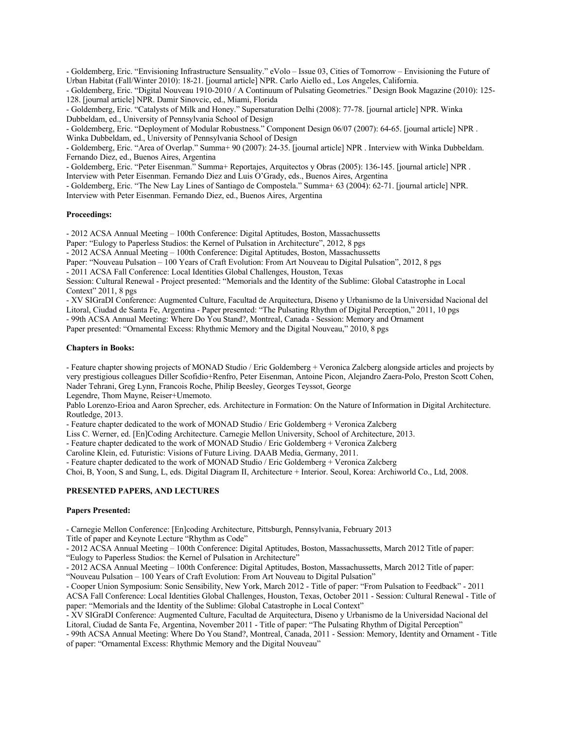- Goldemberg, Eric. "Envisioning Infrastructure Sensuality." eVolo – Issue 03, Cities of Tomorrow – Envisioning the Future of Urban Habitat (Fall/Winter 2010): 18-21. [journal article] NPR. Carlo Aiello ed., Los Angeles, California.

- Goldemberg, Eric. "Digital Nouveau 1910-2010 / A Continuum of Pulsating Geometries." Design Book Magazine (2010): 125- 128. [journal article] NPR. Damir Sinovcic, ed., Miami, Florida

- Goldemberg, Eric. "Catalysts of Milk and Honey." Supersaturation Delhi (2008): 77-78. [journal article] NPR. Winka Dubbeldam, ed., University of Pennsylvania School of Design

- Goldemberg, Eric. "Deployment of Modular Robustness." Component Design 06/07 (2007): 64-65. [journal article] NPR . Winka Dubbeldam, ed., University of Pennsylvania School of Design

- Goldemberg, Eric. "Area of Overlap." Summa+ 90 (2007): 24-35. [journal article] NPR . Interview with Winka Dubbeldam. Fernando Diez, ed., Buenos Aires, Argentina

- Goldemberg, Eric. "Peter Eisenman." Summa+ Reportajes, Arquitectos y Obras (2005): 136-145. [journal article] NPR . Interview with Peter Eisenman. Fernando Diez and Luis O'Grady, eds., Buenos Aires, Argentina

- Goldemberg, Eric. "The New Lay Lines of Santiago de Compostela." Summa+ 63 (2004): 62-71. [journal article] NPR. Interview with Peter Eisenman. Fernando Diez, ed., Buenos Aires, Argentina

#### **Proceedings:**

- 2012 ACSA Annual Meeting – 100th Conference: Digital Aptitudes, Boston, Massachussetts

Paper: "Eulogy to Paperless Studios: the Kernel of Pulsation in Architecture", 2012, 8 pgs

- 2012 ACSA Annual Meeting – 100th Conference: Digital Aptitudes, Boston, Massachussetts

Paper: "Nouveau Pulsation – 100 Years of Craft Evolution: From Art Nouveau to Digital Pulsation", 2012, 8 pgs

- 2011 ACSA Fall Conference: Local Identities Global Challenges, Houston, Texas

Session: Cultural Renewal - Project presented: "Memorials and the Identity of the Sublime: Global Catastrophe in Local Context" 2011, 8 pgs

- XV SIGraDI Conference: Augmented Culture, Facultad de Arquitectura, Diseno y Urbanismo de la Universidad Nacional del

Litoral, Ciudad de Santa Fe, Argentina - Paper presented: "The Pulsating Rhythm of Digital Perception," 2011, 10 pgs

- 99th ACSA Annual Meeting: Where Do You Stand?, Montreal, Canada - Session: Memory and Ornament Paper presented: "Ornamental Excess: Rhythmic Memory and the Digital Nouveau," 2010, 8 pgs

#### **Chapters in Books:**

- Feature chapter showing projects of MONAD Studio / Eric Goldemberg + Veronica Zalcberg alongside articles and projects by very prestigious colleagues Diller Scofidio+Renfro, Peter Eisenman, Antoine Picon, Alejandro Zaera-Polo, Preston Scott Cohen, Nader Tehrani, Greg Lynn, Francois Roche, Philip Beesley, Georges Teyssot, George

Legendre, Thom Mayne, Reiser+Umemoto.

Pablo Lorenzo-Erioa and Aaron Sprecher, eds. Architecture in Formation: On the Nature of Information in Digital Architecture. Routledge, 2013.

- Feature chapter dedicated to the work of MONAD Studio / Eric Goldemberg + Veronica Zalcberg

Liss C. Werner, ed. [En]Coding Architecture. Carnegie Mellon University, School of Architecture, 2013.

- Feature chapter dedicated to the work of MONAD Studio / Eric Goldemberg + Veronica Zalcberg

Caroline Klein, ed. Futuristic: Visions of Future Living. DAAB Media, Germany, 2011.

- Feature chapter dedicated to the work of MONAD Studio / Eric Goldemberg + Veronica Zalcberg

Choi, B, Yoon, S and Sung, L, eds. Digital Diagram II, Architecture + Interior. Seoul, Korea: Archiworld Co., Ltd, 2008.

#### **PRESENTED PAPERS, AND LECTURES**

#### **Papers Presented:**

- Carnegie Mellon Conference: [En]coding Architecture, Pittsburgh, Pennsylvania, February 2013

Title of paper and Keynote Lecture "Rhythm as Code"

- 2012 ACSA Annual Meeting – 100th Conference: Digital Aptitudes, Boston, Massachussetts, March 2012 Title of paper: "Eulogy to Paperless Studios: the Kernel of Pulsation in Architecture"

- 2012 ACSA Annual Meeting – 100th Conference: Digital Aptitudes, Boston, Massachussetts, March 2012 Title of paper: "Nouveau Pulsation – 100 Years of Craft Evolution: From Art Nouveau to Digital Pulsation"

- Cooper Union Symposium: Sonic Sensibility, New York, March 2012 - Title of paper: "From Pulsation to Feedback" - 2011 ACSA Fall Conference: Local Identities Global Challenges, Houston, Texas, October 2011 - Session: Cultural Renewal - Title of paper: "Memorials and the Identity of the Sublime: Global Catastrophe in Local Context"

- XV SIGraDI Conference: Augmented Culture, Facultad de Arquitectura, Diseno y Urbanismo de la Universidad Nacional del Litoral, Ciudad de Santa Fe, Argentina, November 2011 - Title of paper: "The Pulsating Rhythm of Digital Perception"

- 99th ACSA Annual Meeting: Where Do You Stand?, Montreal, Canada, 2011 - Session: Memory, Identity and Ornament - Title of paper: "Ornamental Excess: Rhythmic Memory and the Digital Nouveau"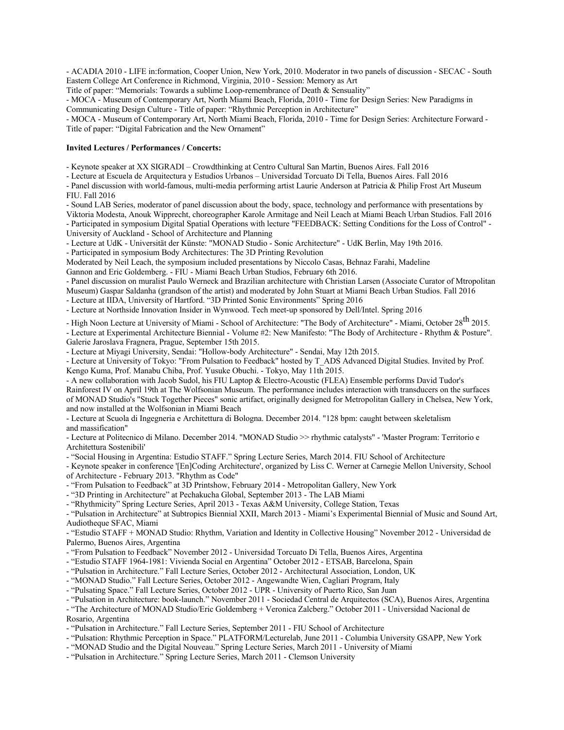- ACADIA 2010 - LIFE in:formation, Cooper Union, New York, 2010. Moderator in two panels of discussion - SECAC - South Eastern College Art Conference in Richmond, Virginia, 2010 - Session: Memory as Art

Title of paper: "Memorials: Towards a sublime Loop-remembrance of Death & Sensuality"

- MOCA - Museum of Contemporary Art, North Miami Beach, Florida, 2010 - Time for Design Series: New Paradigms in Communicating Design Culture - Title of paper: "Rhythmic Perception in Architecture"

- MOCA - Museum of Contemporary Art, North Miami Beach, Florida, 2010 - Time for Design Series: Architecture Forward - Title of paper: "Digital Fabrication and the New Ornament"

#### **Invited Lectures / Performances / Concerts:**

- Keynote speaker at XX SIGRADI – Crowdthinking at Centro Cultural San Martin, Buenos Aires. Fall 2016

- Lecture at Escuela de Arquitectura y Estudios Urbanos – Universidad Torcuato Di Tella, Buenos Aires. Fall 2016

- Panel discussion with world-famous, multi-media performing artist Laurie Anderson at Patricia & Philip Frost Art Museum FIU. Fall 2016

- Sound LAB Series, moderator of panel discussion about the body, space, technology and performance with presentations by Viktoria Modesta, Anouk Wipprecht, choreographer Karole Armitage and Neil Leach at Miami Beach Urban Studios. Fall 2016 - Participated in symposium Digital Spatial Operations with lecture "FEEDBACK: Setting Conditions for the Loss of Control" - University of Auckland - School of Architecture and Planning

- Lecture at UdK - Universität der Künste: "MONAD Studio - Sonic Architecture" - UdK Berlin, May 19th 2016.

- Participated in symposium Body Architectures: The 3D Printing Revolution

Moderated by Neil Leach, the symposium included presentations by Niccolo Casas, Behnaz Farahi, Madeline

Gannon and Eric Goldemberg. - FIU - Miami Beach Urban Studios, February 6th 2016.

- Panel discussion on muralist Paulo Werneck and Brazilian architecture with Christian Larsen (Associate Curator of Mtropolitan Museum) Gaspar Saldanha (grandson of the artist) and moderated by John Stuart at Miami Beach Urban Studios. Fall 2016 - Lecture at IIDA, University of Hartford. "3D Printed Sonic Environments" Spring 2016

- Lecture at Northside Innovation Insider in Wynwood. Tech meet-up sponsored by Dell/Intel. Spring 2016

- High Noon Lecture at University of Miami - School of Architecture: "The Body of Architecture" - Miami, October 28<sup>th</sup> 2015.

- Lecture at Experimental Architecture Biennial - Volume #2: New Manifesto: "The Body of Architecture - Rhythm & Posture". Galerie Jaroslava Fragnera, Prague, September 15th 2015.

- Lecture at Miyagi University, Sendai: "Hollow-body Architecture" - Sendai, May 12th 2015.

- Lecture at University of Tokyo: "From Pulsation to Feedback" hosted by T\_ADS Advanced Digital Studies. Invited by Prof. Kengo Kuma, Prof. Manabu Chiba, Prof. Yusuke Obuchi. - Tokyo, May 11th 2015.

- A new collaboration with Jacob Sudol, his FIU Laptop & Electro-Acoustic (FLEA) Ensemble performs David Tudor's Rainforest IV on April 19th at The Wolfsonian Museum. The performance includes interaction with transducers on the surfaces of MONAD Studio's "Stuck Together Pieces" sonic artifact, originally designed for Metropolitan Gallery in Chelsea, New York, and now installed at the Wolfsonian in Miami Beach

- Lecture at Scuola di Ingegneria e Architettura di Bologna. December 2014. "128 bpm: caught between skeletalism and massification"

- Lecture at Politecnico di Milano. December 2014. "MONAD Studio >> rhythmic catalysts" - 'Master Program: Territorio e Architettura Sostenibili'

- "Social Housing in Argentina: Estudio STAFF." Spring Lecture Series, March 2014. FIU School of Architecture

- Keynote speaker in conference '[En]Coding Architecture', organized by Liss C. Werner at Carnegie Mellon University, School of Architecture - February 2013. "Rhythm as Code"

- "From Pulsation to Feedback" at 3D Printshow, February 2014 - Metropolitan Gallery, New York

- "3D Printing in Architecture" at Pechakucha Global, September 2013 - The LAB Miami

- "Rhythmicity" Spring Lecture Series, April 2013 - Texas A&M University, College Station, Texas

- "Pulsation in Architecture" at Subtropics Biennial XXII, March 2013 - Miami's Experimental Biennial of Music and Sound Art, Audiotheque SFAC, Miami

- "Estudio STAFF + MONAD Studio: Rhythm, Variation and Identity in Collective Housing" November 2012 - Universidad de Palermo, Buenos Aires, Argentina

- "From Pulsation to Feedback" November 2012 - Universidad Torcuato Di Tella, Buenos Aires, Argentina

- "Estudio STAFF 1964-1981: Vivienda Social en Argentina" October 2012 - ETSAB, Barcelona, Spain

- "Pulsation in Architecture." Fall Lecture Series, October 2012 - Architectural Association, London, UK

- "MONAD Studio." Fall Lecture Series, October 2012 - Angewandte Wien, Cagliari Program, Italy

- "Pulsating Space." Fall Lecture Series, October 2012 - UPR - University of Puerto Rico, San Juan

- "Pulsation in Architecture: book-launch." November 2011 - Sociedad Central de Arquitectos (SCA), Buenos Aires, Argentina

- "The Architecture of MONAD Studio/Eric Goldemberg + Veronica Zalcberg." October 2011 - Universidad Nacional de Rosario, Argentina

- "Pulsation in Architecture." Fall Lecture Series, September 2011 - FIU School of Architecture

- "Pulsation: Rhythmic Perception in Space." PLATFORM/Lecturelab, June 2011 - Columbia University GSAPP, New York

- "MONAD Studio and the Digital Nouveau." Spring Lecture Series, March 2011 - University of Miami

- "Pulsation in Architecture." Spring Lecture Series, March 2011 - Clemson University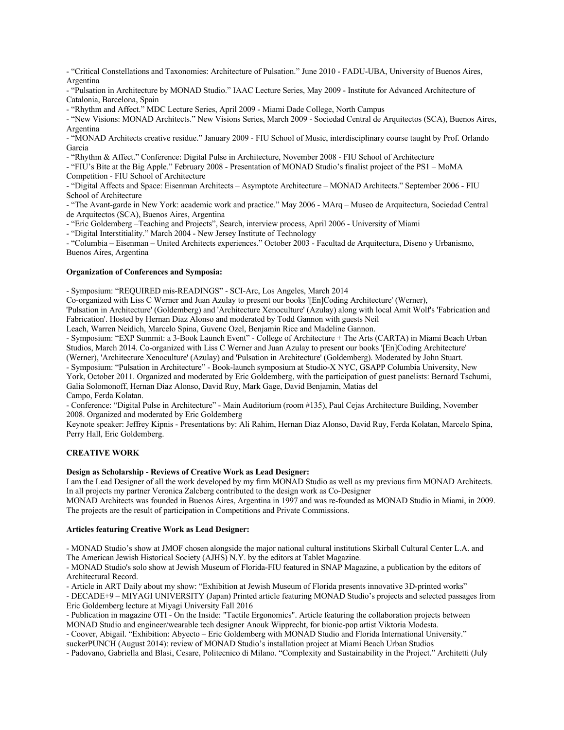- "Critical Constellations and Taxonomies: Architecture of Pulsation." June 2010 - FADU-UBA, University of Buenos Aires, Argentina

- "Pulsation in Architecture by MONAD Studio." IAAC Lecture Series, May 2009 - Institute for Advanced Architecture of Catalonia, Barcelona, Spain

- "Rhythm and Affect." MDC Lecture Series, April 2009 - Miami Dade College, North Campus

- "New Visions: MONAD Architects." New Visions Series, March 2009 - Sociedad Central de Arquitectos (SCA), Buenos Aires, Argentina

- "MONAD Architects creative residue." January 2009 - FIU School of Music, interdisciplinary course taught by Prof. Orlando Garcia

- "Rhythm & Affect." Conference: Digital Pulse in Architecture, November 2008 - FIU School of Architecture

- "FIU's Bite at the Big Apple." February 2008 - Presentation of MONAD Studio's finalist project of the PS1 – MoMA Competition - FIU School of Architecture

- "Digital Affects and Space: Eisenman Architects – Asymptote Architecture – MONAD Architects." September 2006 - FIU School of Architecture

- "The Avant-garde in New York: academic work and practice." May 2006 - MArq – Museo de Arquitectura, Sociedad Central de Arquitectos (SCA), Buenos Aires, Argentina

- "Eric Goldemberg –Teaching and Projects", Search, interview process, April 2006 - University of Miami

- "Digital Interstitiality." March 2004 - New Jersey Institute of Technology

- "Columbia – Eisenman – United Architects experiences." October 2003 - Facultad de Arquitectura, Diseno y Urbanismo, Buenos Aires, Argentina

#### **Organization of Conferences and Symposia:**

- Symposium: "REQUIRED mis-READINGS" - SCI-Arc, Los Angeles, March 2014

Co-organized with Liss C Werner and Juan Azulay to present our books '[En]Coding Architecture' (Werner),

'Pulsation in Architecture' (Goldemberg) and 'Architecture Xenoculture' (Azulay) along with local Amit Wolf's 'Fabrication and Fabrication'. Hosted by Hernan Diaz Alonso and moderated by Todd Gannon with guests Neil

Leach, Warren Neidich, Marcelo Spina, Guvenc Ozel, Benjamin Rice and Madeline Gannon.

- Symposium: "EXP Summit: a 3-Book Launch Event" - College of Architecture + The Arts (CARTA) in Miami Beach Urban Studios, March 2014. Co-organized with Liss C Werner and Juan Azulay to present our books '[En]Coding Architecture'

(Werner), 'Architecture Xenoculture' (Azulay) and 'Pulsation in Architecture' (Goldemberg). Moderated by John Stuart.

- Symposium: "Pulsation in Architecture" - Book-launch symposium at Studio-X NYC, GSAPP Columbia University, New York, October 2011. Organized and moderated by Eric Goldemberg, with the participation of guest panelists: Bernard Tschumi, Galia Solomonoff, Hernan Diaz Alonso, David Ruy, Mark Gage, David Benjamin, Matias del

Campo, Ferda Kolatan.

- Conference: "Digital Pulse in Architecture" - Main Auditorium (room #135), Paul Cejas Architecture Building, November 2008. Organized and moderated by Eric Goldemberg

Keynote speaker: Jeffrey Kipnis - Presentations by: Ali Rahim, Hernan Diaz Alonso, David Ruy, Ferda Kolatan, Marcelo Spina, Perry Hall, Eric Goldemberg.

#### **CREATIVE WORK**

## **Design as Scholarship - Reviews of Creative Work as Lead Designer:**

I am the Lead Designer of all the work developed by my firm MONAD Studio as well as my previous firm MONAD Architects. In all projects my partner Veronica Zalcberg contributed to the design work as Co-Designer

MONAD Architects was founded in Buenos Aires, Argentina in 1997 and was re-founded as MONAD Studio in Miami, in 2009. The projects are the result of participation in Competitions and Private Commissions.

#### **Articles featuring Creative Work as Lead Designer:**

- MONAD Studio's show at JMOF chosen alongside the major national cultural institutions Skirball Cultural Center L.A. and The American Jewish Historical Society (AJHS) N.Y. by the editors at Tablet Magazine.

- MONAD Studio's solo show at Jewish Museum of Florida-FIU featured in SNAP Magazine, a publication by the editors of Architectural Record.

- Article in ART Daily about my show: "Exhibition at Jewish Museum of Florida presents innovative 3D-printed works"

- DECADE+9 – MIYAGI UNIVERSITY (Japan) Printed article featuring MONAD Studio's projects and selected passages from Eric Goldemberg lecture at Miyagi University Fall 2016

- Publication in magazine OTI - On the Inside: "Tactile Ergonomics". Article featuring the collaboration projects between MONAD Studio and engineer/wearable tech designer Anouk Wipprecht, for bionic-pop artist Viktoria Modesta.

- Coover, Abigail. "Exhibition: Abyecto – Eric Goldemberg with MONAD Studio and Florida International University." suckerPUNCH (August 2014): review of MONAD Studio's installation project at Miami Beach Urban Studios

- Padovano, Gabriella and Blasi, Cesare, Politecnico di Milano. "Complexity and Sustainability in the Project." Architetti (July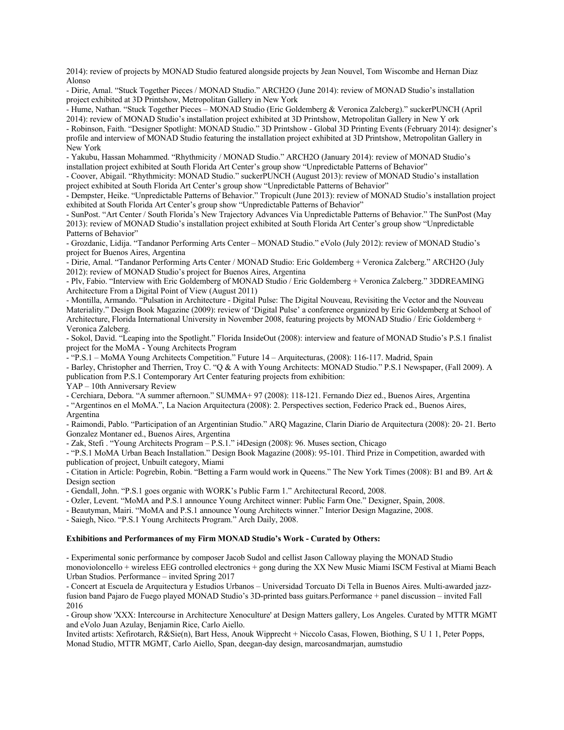2014): review of projects by MONAD Studio featured alongside projects by Jean Nouvel, Tom Wiscombe and Hernan Diaz Alonso

- Dirie, Amal. "Stuck Together Pieces / MONAD Studio." ARCH2O (June 2014): review of MONAD Studio's installation project exhibited at 3D Printshow, Metropolitan Gallery in New York

- Hume, Nathan. "Stuck Together Pieces – MONAD Studio (Eric Goldemberg & Veronica Zalcberg)." suckerPUNCH (April 2014): review of MONAD Studio's installation project exhibited at 3D Printshow, Metropolitan Gallery in New Y ork

- Robinson, Faith. "Designer Spotlight: MONAD Studio." 3D Printshow - Global 3D Printing Events (February 2014): designer's profile and interview of MONAD Studio featuring the installation project exhibited at 3D Printshow, Metropolitan Gallery in New York

- Yakubu, Hassan Mohammed. "Rhythmicity / MONAD Studio." ARCH2O (January 2014): review of MONAD Studio's installation project exhibited at South Florida Art Center's group show "Unpredictable Patterns of Behavior"

- Coover, Abigail. "Rhythmicity: MONAD Studio." suckerPUNCH (August 2013): review of MONAD Studio's installation project exhibited at South Florida Art Center's group show "Unpredictable Patterns of Behavior"

- Dempster, Heike. "Unpredictable Patterns of Behavior." Tropicult (June 2013): review of MONAD Studio's installation project exhibited at South Florida Art Center's group show "Unpredictable Patterns of Behavior"

- SunPost. "Art Center / South Florida's New Trajectory Advances Via Unpredictable Patterns of Behavior." The SunPost (May 2013): review of MONAD Studio's installation project exhibited at South Florida Art Center's group show "Unpredictable Patterns of Behavior"

- Grozdanic, Lidija. "Tandanor Performing Arts Center – MONAD Studio." eVolo (July 2012): review of MONAD Studio's project for Buenos Aires, Argentina

- Dirie, Amal. "Tandanor Performing Arts Center / MONAD Studio: Eric Goldemberg + Veronica Zalcberg." ARCH2O (July 2012): review of MONAD Studio's project for Buenos Aires, Argentina

- Plv, Fabio. "Interview with Eric Goldemberg of MONAD Studio / Eric Goldemberg + Veronica Zalcberg." 3DDREAMING Architecture From a Digital Point of View (August 2011)

- Montilla, Armando. "Pulsation in Architecture - Digital Pulse: The Digital Nouveau, Revisiting the Vector and the Nouveau Materiality." Design Book Magazine (2009): review of 'Digital Pulse' a conference organized by Eric Goldemberg at School of Architecture, Florida International University in November 2008, featuring projects by MONAD Studio / Eric Goldemberg + Veronica Zalcberg.

- Sokol, David. "Leaping into the Spotlight." Florida InsideOut (2008): interview and feature of MONAD Studio's P.S.1 finalist project for the MoMA - Young Architects Program

- "P.S.1 – MoMA Young Architects Competition." Future 14 – Arquitecturas, (2008): 116-117. Madrid, Spain

- Barley, Christopher and Therrien, Troy C. "Q & A with Young Architects: MONAD Studio." P.S.1 Newspaper, (Fall 2009). A publication from P.S.1 Contemporary Art Center featuring projects from exhibition:

YAP – 10th Anniversary Review

- Cerchiara, Debora. "A summer afternoon." SUMMA+ 97 (2008): 118-121. Fernando Diez ed., Buenos Aires, Argentina

- "Argentinos en el MoMA.", La Nacion Arquitectura (2008): 2. Perspectives section, Federico Prack ed., Buenos Aires, Argentina

- Raimondi, Pablo. "Participation of an Argentinian Studio." ARQ Magazine, Clarin Diario de Arquitectura (2008): 20- 21. Berto Gonzalez Montaner ed., Buenos Aires, Argentina

- Zak, Stefi . "Young Architects Program – P.S.1." i4Design (2008): 96. Muses section, Chicago

- "P.S.1 MoMA Urban Beach Installation." Design Book Magazine (2008): 95-101. Third Prize in Competition, awarded with publication of project, Unbuilt category, Miami

- Citation in Article: Pogrebin, Robin. "Betting a Farm would work in Queens." The New York Times (2008): B1 and B9. Art & Design section

- Gendall, John. "P.S.1 goes organic with WORK's Public Farm 1." Architectural Record, 2008.

- Ozler, Levent. "MoMA and P.S.1 announce Young Architect winner: Public Farm One." Dexigner, Spain, 2008.

- Beautyman, Mairi. "MoMA and P.S.1 announce Young Architects winner." Interior Design Magazine, 2008.

- Saiegh, Nico. "P.S.1 Young Architects Program." Arch Daily, 2008.

#### **Exhibitions and Performances of my Firm MONAD Studio's Work - Curated by Others:**

- Experimental sonic performance by composer Jacob Sudol and cellist Jason Calloway playing the MONAD Studio monovioloncello + wireless EEG controlled electronics + gong during the XX New Music Miami ISCM Festival at Miami Beach Urban Studios. Performance – invited Spring 2017

- Concert at Escuela de Arquitectura y Estudios Urbanos – Universidad Torcuato Di Tella in Buenos Aires. Multi-awarded jazzfusion band Pajaro de Fuego played MONAD Studio's 3D-printed bass guitars.Performance + panel discussion – invited Fall 2016

- Group show 'XXX: Intercourse in Architecture Xenoculture' at Design Matters gallery, Los Angeles. Curated by MTTR MGMT and eVolo Juan Azulay, Benjamin Rice, Carlo Aiello.

Invited artists: Xefirotarch, R&Sie(n), Bart Hess, Anouk Wipprecht + Niccolo Casas, Flowen, Biothing, S U 1 1, Peter Popps, Monad Studio, MTTR MGMT, Carlo Aiello, Span, deegan-day design, marcosandmarjan, aumstudio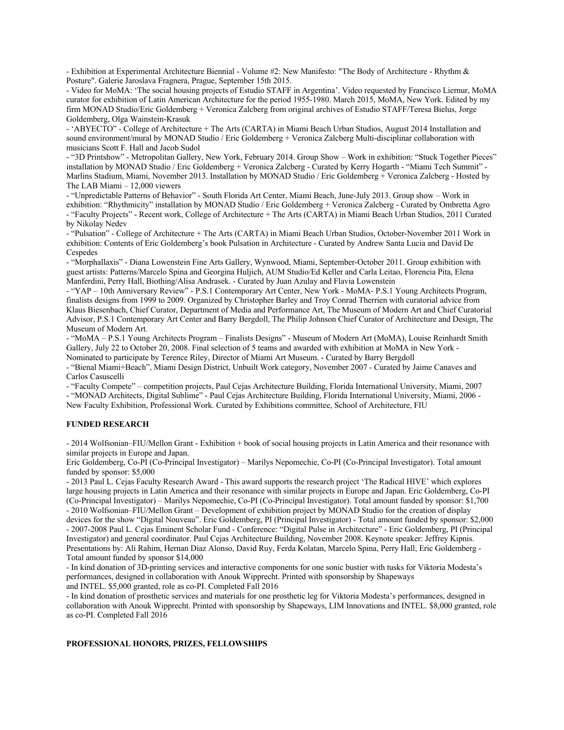- Exhibition at Experimental Architecture Biennial - Volume #2: New Manifesto: "The Body of Architecture - Rhythm & Posture". Galerie Jaroslava Fragnera, Prague, September 15th 2015.

- Video for MoMA: 'The social housing projects of Estudio STAFF in Argentina'. Video requested by Francisco Liernur, MoMA curator for exhibition of Latin American Architecture for the period 1955-1980. March 2015, MoMA, New York. Edited by my firm MONAD Studio/Eric Goldemberg + Veronica Zalcberg from original archives of Estudio STAFF/Teresa Bielus, Jorge Goldemberg, Olga Wainstein-Krasuk

- 'ABYECTO" - College of Architecture + The Arts (CARTA) in Miami Beach Urban Studios, August 2014 Installation and sound environment/mural by MONAD Studio / Eric Goldemberg + Veronica Zalcberg Multi-disciplinar collaboration with musicians Scott F. Hall and Jacob Sudol

- "3D Printshow" - Metropolitan Gallery, New York, February 2014. Group Show – Work in exhibition: "Stuck Together Pieces" installation by MONAD Studio / Eric Goldemberg + Veronica Zalcberg - Curated by Kerry Hogarth - "Miami Tech Summit" - Marlins Stadium, Miami, November 2013. Installation by MONAD Studio / Eric Goldemberg + Veronica Zalcberg - Hosted by The LAB Miami – 12,000 viewers

- "Unpredictable Patterns of Behavior" - South Florida Art Center, Miami Beach, June-July 2013. Group show – Work in exhibition: "Rhythmicity" installation by MONAD Studio / Eric Goldemberg + Veronica Zalcberg - Curated by Ombretta Agro - "Faculty Projects" - Recent work, College of Architecture + The Arts (CARTA) in Miami Beach Urban Studios, 2011 Curated by Nikolay Nedev

- "Pulsation" - College of Architecture + The Arts (CARTA) in Miami Beach Urban Studios, October-November 2011 Work in exhibition: Contents of Eric Goldemberg's book Pulsation in Architecture - Curated by Andrew Santa Lucia and David De Cespedes

- "Morphallaxis" - Diana Lowenstein Fine Arts Gallery, Wynwood, Miami, September-October 2011. Group exhibition with guest artists: Patterns/Marcelo Spina and Georgina Huljich, AUM Studio/Ed Keller and Carla Leitao, Florencia Pita, Elena Manferdini, Perry Hall, Biothing/Alisa Andrasek. - Curated by Juan Azulay and Flavia Lowenstein

- "YAP – 10th Anniversary Review" - P.S.1 Contemporary Art Center, New York - MoMA- P.S.1 Young Architects Program, finalists designs from 1999 to 2009. Organized by Christopher Barley and Troy Conrad Therrien with curatorial advice from Klaus Biesenbach, Chief Curator, Department of Media and Performance Art, The Museum of Modern Art and Chief Curatorial Advisor, P.S.1 Contemporary Art Center and Barry Bergdoll, The Philip Johnson Chief Curator of Architecture and Design, The Museum of Modern Art.

- "MoMA – P.S.1 Young Architects Program – Finalists Designs" - Museum of Modern Art (MoMA), Louise Reinhardt Smith Gallery, July 22 to October 20, 2008. Final selection of 5 teams and awarded with exhibition at MoMA in New York - Nominated to participate by Terence Riley, Director of Miami Art Museum. - Curated by Barry Bergdoll

- "Bienal Miami+Beach", Miami Design District, Unbuilt Work category, November 2007 - Curated by Jaime Canaves and Carlos Casuscelli

- "Faculty Compete" – competition projects, Paul Cejas Architecture Building, Florida International University, Miami, 2007 - "MONAD Architects, Digital Sublime" - Paul Cejas Architecture Building, Florida International University, Miami, 2006 - New Faculty Exhibition, Professional Work. Curated by Exhibitions committee, School of Architecture, FIU

#### **FUNDED RESEARCH**

- 2014 Wolfsonian–FIU/Mellon Grant - Exhibition + book of social housing projects in Latin America and their resonance with similar projects in Europe and Japan.

Eric Goldemberg, Co-PI (Co-Principal Investigator) – Marilys Nepomechie, Co-PI (Co-Principal Investigator). Total amount funded by sponsor: \$5,000

- 2013 Paul L. Cejas Faculty Research Award - This award supports the research project 'The Radical HIVE' which explores large housing projects in Latin America and their resonance with similar projects in Europe and Japan. Eric Goldemberg, Co-PI (Co-Principal Investigator) – Marilys Nepomechie, Co-PI (Co-Principal Investigator). Total amount funded by sponsor: \$1,700 - 2010 Wolfsonian–FIU/Mellon Grant – Development of exhibition project by MONAD Studio for the creation of display devices for the show "Digital Nouveau". Eric Goldemberg, PI (Principal Investigator) - Total amount funded by sponsor: \$2,000 - 2007-2008 Paul L. Cejas Eminent Scholar Fund - Conference: "Digital Pulse in Architecture" - Eric Goldemberg, PI (Principal Investigator) and general coordinator. Paul Cejas Architecture Building, November 2008. Keynote speaker: Jeffrey Kipnis. Presentations by: Ali Rahim, Hernan Diaz Alonso, David Ruy, Ferda Kolatan, Marcelo Spina, Perry Hall, Eric Goldemberg - Total amount funded by sponsor \$14,000

- In kind donation of 3D-printing services and interactive components for one sonic bustier with tusks for Viktoria Modesta's performances, designed in collaboration with Anouk Wipprecht. Printed with sponsorship by Shapeways and INTEL. \$5,000 granted, role as co-PI. Completed Fall 2016

- In kind donation of prosthetic services and materials for one prosthetic leg for Viktoria Modesta's performances, designed in collaboration with Anouk Wipprecht. Printed with sponsorship by Shapeways, LIM Innovations and INTEL. \$8,000 granted, role as co-PI. Completed Fall 2016

## **PROFESSIONAL HONORS, PRIZES, FELLOWSHIPS**